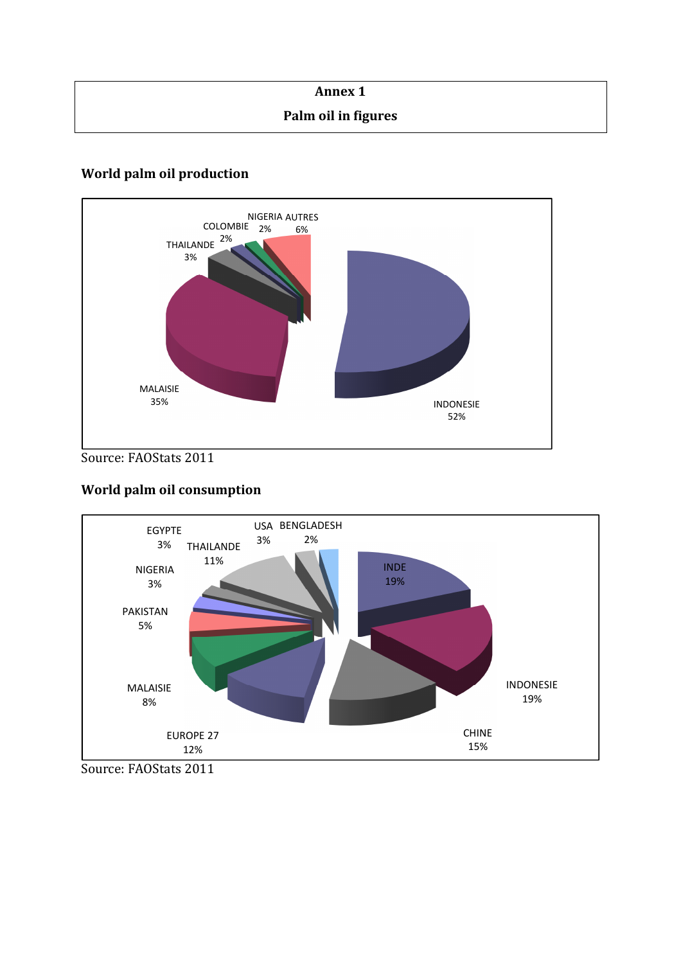| <b>Annex 1</b>      |  |
|---------------------|--|
| Palm oil in figures |  |

# **World palm oil production**



Source: FAOStats 2011

## **World palm oil consumption**



Source: FAOStats 2011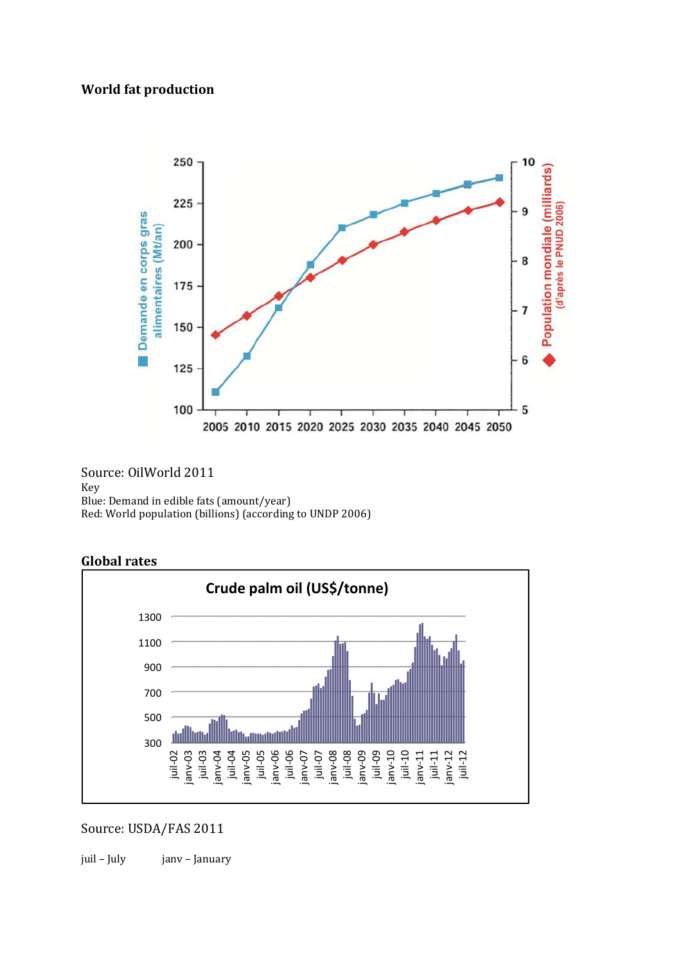## **World fat production**



Source: OilWorld 2011 Key Blue: Demand in edible fats (amount/year) Red: World population (billions) (according to UNDP 2006)



juil-05 janv-06

juil-06 janv-07 juil-07 janv-08 juil-08 janv-09 juil-09 janv-10 juil-10 janv-11 juil-11 janv-12 juil-12

### **Global rates**

## Source: USDA/FAS 2011

300

juil-02 janv-03 juil-03 janv-04 juil-04 janv-05

屾

500

juil – July janv – January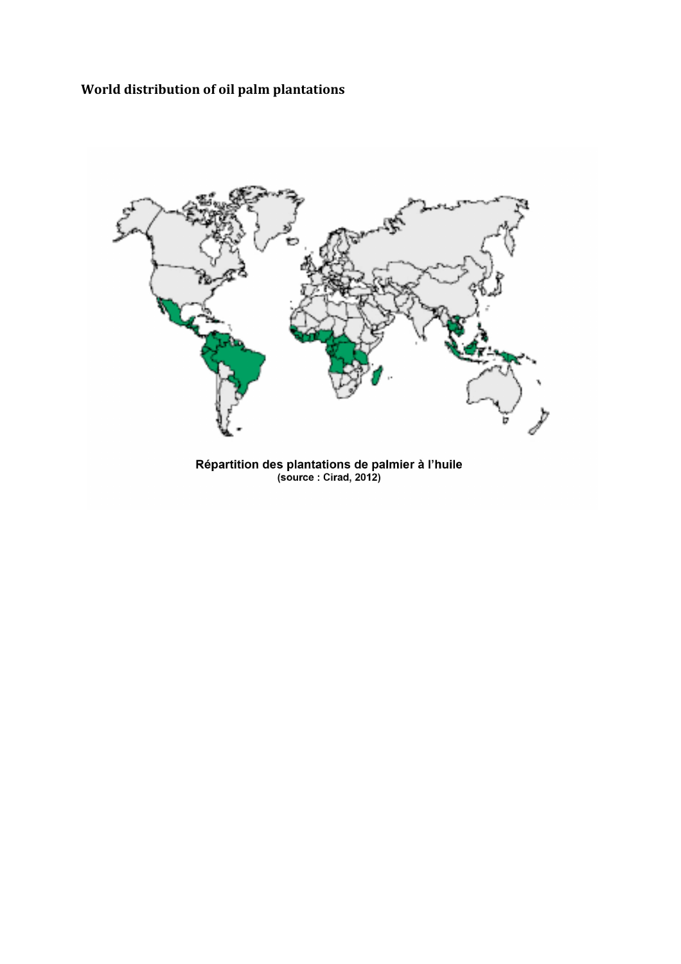**World distribution of oil palm plantations** 



Répartition des plantations de palmier à l'huile<br>(source : Cirad, 2012)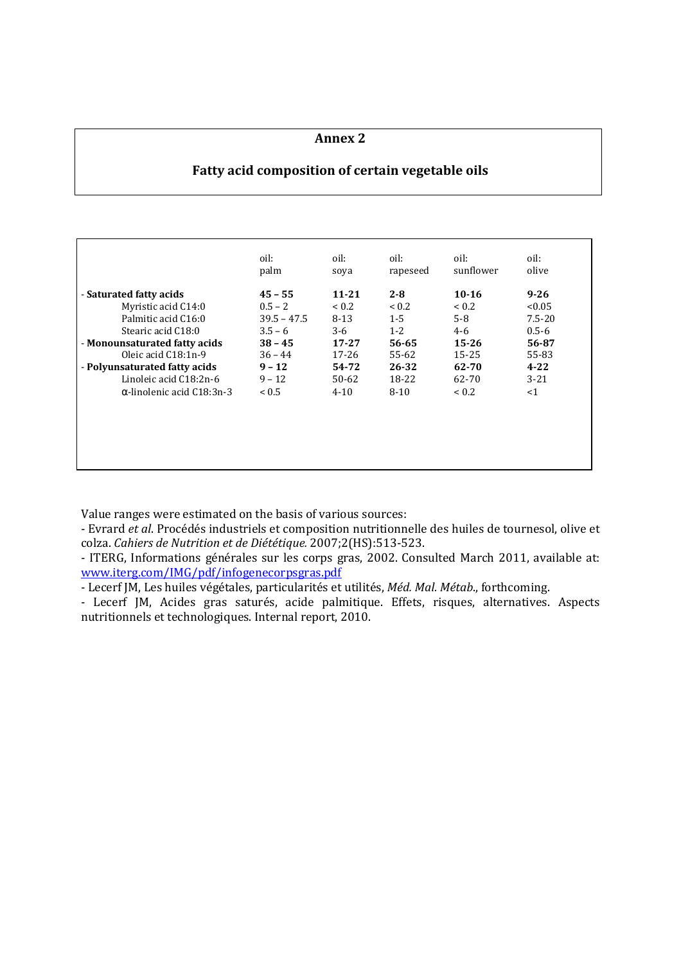#### **Annex 2**

## **Fatty acid composition of certain vegetable oils**

|                                   | oil:          | oil:       | oil:     | oil:       | oil:       |
|-----------------------------------|---------------|------------|----------|------------|------------|
|                                   | palm          | soya       | rapeseed | sunflower  | olive      |
| - Saturated fatty acids           | $45 - 55$     | $11 - 21$  | $2 - 8$  | $10-16$    | $9 - 26$   |
| Myristic acid C14:0               | $0.5 - 2$     | ${}_{0.2}$ | < 0.2    | ${}_{0.2}$ | < 0.05     |
| Palmitic acid C16:0               | $39.5 - 47.5$ | $8 - 13$   | $1 - 5$  | $5-8$      | $7.5 - 20$ |
| Stearic acid C18:0                | $3.5 - 6$     | $3-6$      | $1 - 2$  | $4 - 6$    | $0.5 - 6$  |
| - Monounsaturated fatty acids     | $38 - 45$     | $17 - 27$  | 56-65    | $15 - 26$  | 56-87      |
| Oleic acid C18:1n-9               | $36 - 44$     | $17 - 26$  | 55-62    | 15-25      | 55-83      |
| - Polyunsaturated fatty acids     | $9 - 12$      | 54-72      | 26-32    | 62-70      | $4 - 22$   |
| Linoleic acid C18:2n-6            | $9 - 12$      | $50-62$    | 18-22    | 62-70      | $3 - 21$   |
| $\alpha$ -linolenic acid C18:3n-3 | < 0.5         | $4 - 10$   | $8-10$   | ${}_{0.2}$ | <1         |

Value ranges were estimated on the basis of various sources:

- Evrard *et al*. Procédés industriels et composition nutritionnelle des huiles de tournesol, olive et colza. *Cahiers de Nutrition et de Diététique.* 2007;2(HS):513-523.

- ITERG, Informations générales sur les corps gras, 2002. Consulted March 2011, available at: www.iterg.com/IMG/pdf/infogenecorpsgras.pdf

- Lecerf JM, Les huiles végétales, particularités et utilités, *Méd. Mal. Métab*., forthcoming.

- Lecerf JM, Acides gras saturés, acide palmitique. Effets, risques, alternatives. Aspects nutritionnels et technologiques. Internal report, 2010.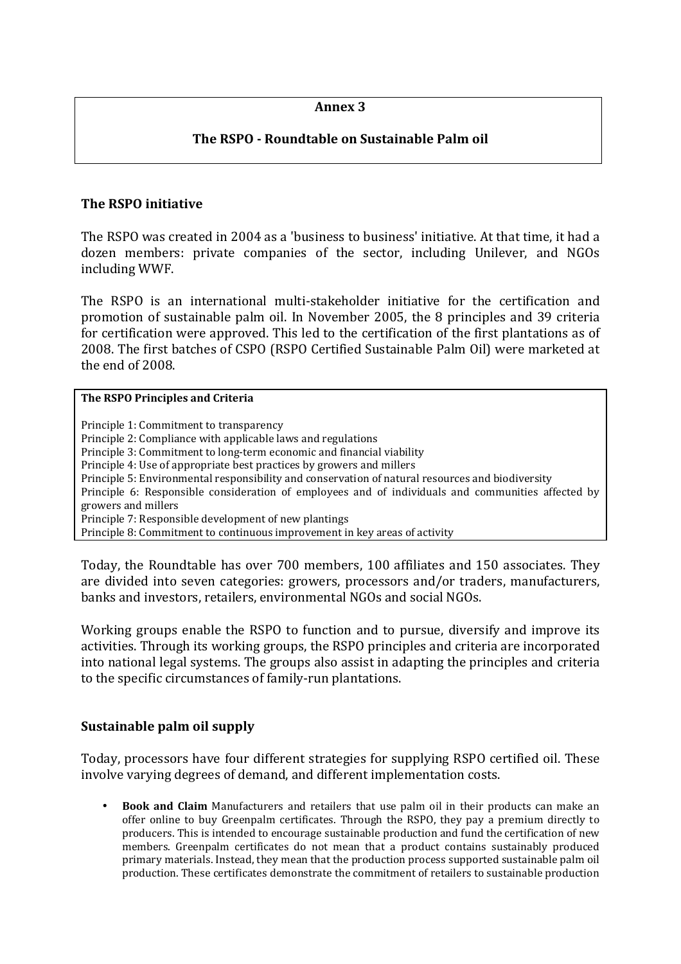### **Annex 3**

## **The RSPO - Roundtable on Sustainable Palm oil**

### **The RSPO initiative**

The RSPO was created in 2004 as a 'business to business' initiative. At that time, it had a dozen members: private companies of the sector, including Unilever, and NGOs including WWF.

The RSPO is an international multi-stakeholder initiative for the certification and promotion of sustainable palm oil. In November 2005, the 8 principles and 39 criteria for certification were approved. This led to the certification of the first plantations as of 2008. The first batches of CSPO (RSPO Certified Sustainable Palm Oil) were marketed at the end of 2008.

#### **The RSPO Principles and Criteria**

Principle 1: Commitment to transparency Principle 2: Compliance with applicable laws and regulations Principle 3: Commitment to long-term economic and financial viability Principle 4: Use of appropriate best practices by growers and millers Principle 5: Environmental responsibility and conservation of natural resources and biodiversity Principle 6: Responsible consideration of employees and of individuals and communities affected by growers and millers Principle 7: Responsible development of new plantings Principle 8: Commitment to continuous improvement in key areas of activity

Today, the Roundtable has over 700 members, 100 affiliates and 150 associates. They are divided into seven categories: growers, processors and/or traders, manufacturers, banks and investors, retailers, environmental NGOs and social NGOs.

Working groups enable the RSPO to function and to pursue, diversify and improve its activities. Through its working groups, the RSPO principles and criteria are incorporated into national legal systems. The groups also assist in adapting the principles and criteria to the specific circumstances of family-run plantations.

#### **Sustainable palm oil supply**

Today, processors have four different strategies for supplying RSPO certified oil. These involve varying degrees of demand, and different implementation costs.

• **Book and Claim** Manufacturers and retailers that use palm oil in their products can make an offer online to buy Greenpalm certificates. Through the RSPO, they pay a premium directly to producers. This is intended to encourage sustainable production and fund the certification of new members. Greenpalm certificates do not mean that a product contains sustainably produced primary materials. Instead, they mean that the production process supported sustainable palm oil production. These certificates demonstrate the commitment of retailers to sustainable production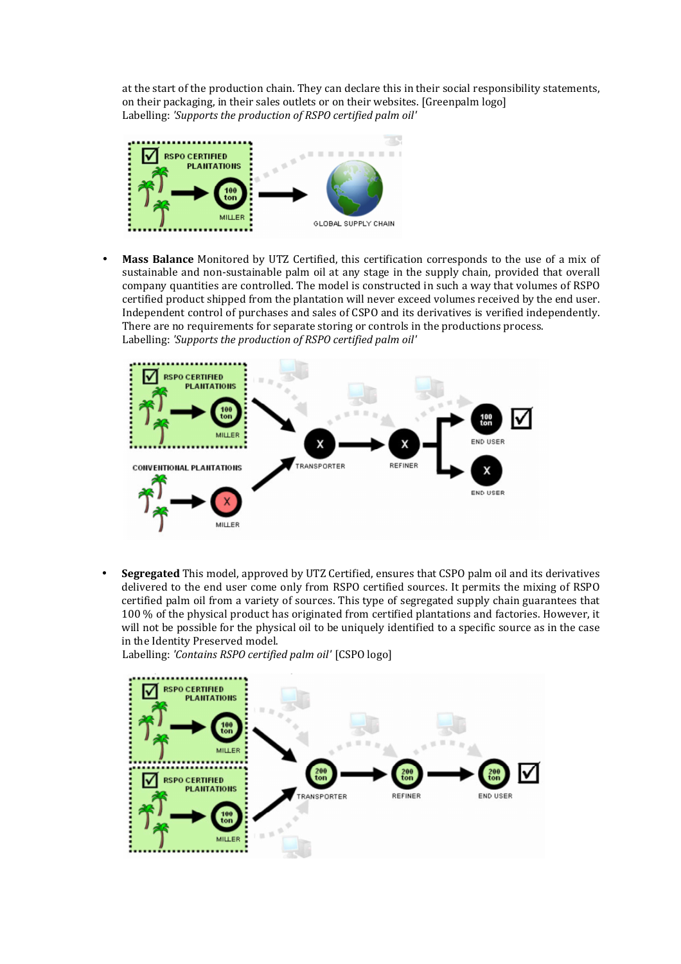at the start of the production chain. They can declare this in their social responsibility statements, on their packaging, in their sales outlets or on their websites. [Greenpalm logo] Labelling: *'Supports the production of RSPO certified palm oil'* 



• **Mass Balance** Monitored by UTZ Certified, this certification corresponds to the use of a mix of sustainable and non-sustainable palm oil at any stage in the supply chain, provided that overall company quantities are controlled. The model is constructed in such a way that volumes of RSPO certified product shipped from the plantation will never exceed volumes received by the end user. Independent control of purchases and sales of CSPO and its derivatives is verified independently. There are no requirements for separate storing or controls in the productions process. Labelling: *'Supports the production of RSPO certified palm oil'* 



• **Segregated** This model, approved by UTZ Certified, ensures that CSPO palm oil and its derivatives delivered to the end user come only from RSPO certified sources. It permits the mixing of RSPO certified palm oil from a variety of sources. This type of segregated supply chain guarantees that 100 % of the physical product has originated from certified plantations and factories. However, it will not be possible for the physical oil to be uniquely identified to a specific source as in the case in the Identity Preserved model.

Labelling: *'Contains RSPO certified palm oil'* [CSPO logo]